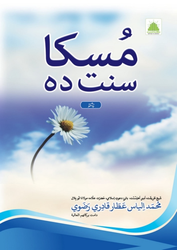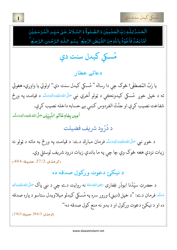

ِ<br>ٱلۡحَمۡمُاۡلِكَٰوَتِِّالۡعَلَـمِيۡنَ ֚ۡ֘ ֺ֦֧֦֧֦֧֦֧֦֧֚֚֚֚֘֝֜*֚* ֚֬ ٰبِّ\لُـعْـلَم ֺ֞ ؚ<br><u>ٝ</u> ٰ ֧֧֢֚֚<br>֧֢׆ لِلّٰـهِ دَبِّ الْعٰلَـبِيۡنَ وَالصَّـٰلُوةُۚ وَالسَّـلَامُ عَـٰلِى سَيِّـٰ لِا l ٰ l .<br>وَالسَّلَامُ عَـلٰى سَيِّـلِ الْمُرْسَلِيْنَ ֚֓֕ -֚֟ -عْوُذُ ֧֦֘ ֦֧֜ ا ֦֧ اَمَّا بَعُدُ فَاَحُوْذُ بِاللَّهِ مِنَ الشَّيۡطٰنِ الرَّجِيُم ֧֦֧֦֧֦֧֦֧֦֧֦֧֦֧֦֧֦֧֦֧֦֧֦֧֦֧֦֧֦֧֧֦֧֜֓֓֞֓֓֓֞ , ٰ ֧֦֧֦֧֦֧֦֧֦֧֦֧֦֧֦֧֦֧֦֧֦֧֦֧֦֧֧֦֧֧֦֧֬֓֓֞֓֞֓֓֓֞ ر<br>باللهِ مِنَ الشَّيُطْنِ النَّجِيُم ۙ بِسُـمِ اللَّـٰهِ ٰ ٰ Į. اللّٰكِ الرَّحۡلِنِ الرَّحِيۡمُ ֧֧<sup>֓</sup>֓ <u>ّ</u>

و<br><mark>عمید</mark> مُسکي کيدل سنت دي

#### دعائے عطار

يا رَبَّ المُصطفى! څوک چي دا رساله " مُسكي كيدل سنت دي" اولولي يا واوري، هغوئي و ته د خپل خوږ مُسکي کيدونڪي د ټولو آخري نبي <sup>صَلَّى</sup>اللهٴتَليَّـهِۥَاللهءَسَلَّـه د قيامت په ورځ و <u>ا</u> اللہ میں اس کے بات ہے۔<br>مناسب میں اس کے بات ہے کہ اس کے بات ہے۔<br>مناسب میں اس کے بات ہے۔ <u>َمَ</u> **گ** َ اً **∫** <u>ا</u> شفاعت نصيب كړې او جنَّتُ الفردوس كښې بے حسابه داخله نصيب كړې. **أُمِين بِجَاةِ خَاتَمِ النَّبِيِّيْن صَلَّى الل**َّهُ عَلَيْهِ وَالِهٖ وَسَلَّمَ إِ َ اً **∶** <u>أ</u> <u>َ</u> <u>ٔ</u> ُ ُ

د دُرُود شريف فضيلت

د خوږ نبي <sup>صَلَّى</sup>الله<sup>ع</sup>َليَّةِوَاللَّهُ فُرمان مبارك دے: د قيامت په ورځ به ماته د ټولو نه َ ْ أَيُّ مِّنْ يَسْتَقْرِبُ بِيَا بِيَا بِيَا بِيَا بِيَا بِيَا بِيَا بِيَا بِيَا بِيَا بِيَا بِيَا بِيَا بِيَا <u>َ</u> ُ َ اً í َ زيات نزدې هغه څوک وي چا چي په ما باندې زيات درود شريف لوستلي وي.  $(484:27/2, 204)$ 

د نيكئ دعوت وركول صدقه ده

د حضرتِ سيِّدَنا ابوذر سيِّدُنا ابوذَر غِفارى <sup>ب<sub>رخِىالل</sub>هءَنَهُ نه روايت دے چې د نبي پاک صَلَّىاللهءَلَي<sub>َّلِ</sub>ءَالِهٖ</sup> .<br>. ∫<br>ا <u>َ</u> ُ <u>ا</u> ْ <u>َ</u> <u>ہ</u> تَ<sup>سَلَّم</sup> فرمان دے: "د خپل (ديني) ورور سره په مُسكي كيدلو ميلاويدل ستاسو د پاره صدقه اً í <u>أ</u> و ده او د نيكئ دعوت وركول او د بدو نه منع كول صدقه ده-''

 $(1963, 384/3, 1963)$ ، حديث

erialdi<br>Verkis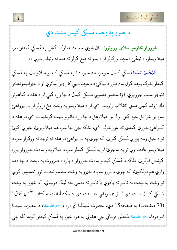مُسكى كيدل سنت دى

### د خبرو په وخت مُسكي كيدل سنت دي

خوږو او محترمو اسلامي ورونړو! بيان شوي حديث مبارک کښې په مُسکي کيدلو سره ميلاويدلو، د نيكيځ دعوت وركولو او د بدو نه منع كولو ته صدقه وئيلے شوي ده-

سُبُحْنَ اللّٰه! مُسكى كيدل څومره ښه خبره ده! په مُسكى كيدلو ميلاويدل، په مُسكى کيدلو څوک پوهه کول عام طور د نيکيځ د دعوت ديني کار ډير آسانوي او د حيرانيدونڪو نتيجو سبب جوريږي آؤ! ستاسو معمولي مُسكي كيدل د چا زره كټي او د هغه د ګناهونو ډك ژوند كښى مدني انقلاب راوستے شي او د ميلاويدو په وخت مخ اړولو او بے پرواهئ سره يو خوا بل خوا كتل او لاس ميلاوهل د چا زړه ماتولو سبب ګرځيدے شي او هغه د ګمراهئ جورې کندې ته غورځولے شي، ځکه چي چا سره هم ميلاويږئ، خبرې کوئ نو د خپل وسه پورې مُسکي کيږئ. که چرې په بے پراهئ او هغه ته توجه نه ورکولو سره د ميلاويدو عادت وي نو په عاجزئ او په مُسكي كيدلو سره د ميلاويدو عادت جوړولو پوره کوشش اوکړئ، بلکه د مُسکي کيدلو عادت جوړولو د پاره د ضرورت په وخت د چا ذمه واري هم اولګوئ، که چرې د نورو سره د خبرو په وخت ستاسو تندے ترِو محسوس کړي نو وخت په وخت به تاسو ته يادوي يا تاسو ته داسې څه ليک درښائي: "د خبرو په وخت مُسكي كيدل سنت دي". آؤ جي! واقعي دا سنت دي.د مكتبةُ المَدينه كتاب ''<sup>دُس</sup>نِ اَنحلاق'' (73 صفحات) په صَفْحَه15 دي: حضرت سَيّدَتُنا اُمِّ درداء ﷺﷺ، د حضرت سيدنا ابو درداء ﷺ عَنْهُ مُتَعَلِّق فرمائي چې هغوئي به هره خبره په مُسكي كيدلو كوله، كله چې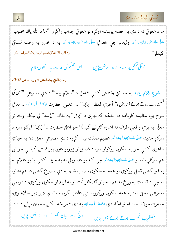

ما د هغوئي نه د دي په حقله پوښتنه اوکره نو هغوئي جواب راکرو: "ما د الله پاك محبوب صَلَّى الله عَلَيْهِ وَاللهٖ وَسَلَّم اوليدلو چي هغوئي صَلَّى الله عَلَيْهِ وَاللهٖ وَسَلَّم به د خبرو په وخت مُسكى (مكارم الاخلاق للطبراني،ص319،رقم: 21) كيدلو".

اُس ت<sup>عب</sup>ُّم کی عادت <sup>پہ لاکھوں سلام</sup> جسکی تسکی<sub>ں سے ر</sub>وتے ہوئے ہنس پڑیں

(حدائقِ بخشش شريف،ص303)

شرج کلا<u>م</u> رضا: په حدائقِ بخشش کښې شامل د "سلام رضا" د دې مصرعې "<sup>ج</sup>رگ <sup>سکم</sup>ین *سے روتے ہوئے <del>ب</del>س پڑی*'' آخري لفظ ''*پڑی*'' د اعلٰـی حضرت <sup>پح</sup>قۂاللّٰہِ عَلَيْه د مدني سوچ يوه عظيمه کارنامه ده. ځکه که چرې د "پُرين" په ځائے "پُرے" ئي ليکلے وے نو معني به يوې واقعي طرف ته اشاره ګنړلے کيدله! خو اعلىٰ حضرت د "پُرُيں" ليکلو سره د سرکارِ مدينه <sup>صَلَّى</sup>الله عَلَيْهِ وَالِهِوَسَلَّم عظيم صفت بيان کړو- د دې مصرعي معنيٰ ده: په حياتِ ظاهري كښى خو به سكون وركولو سره د غم زپلو زړونو غوټئ پرانستے كيدلى خو نن هم سرکارِ نامدار <sup>صَلَّى</sup>اللهٴقَلِيَّةِالل<sup>ِ</sup>ّةِسَلَّہ چي کله يو غم زيلي ته په خوب کښي يا يو غلام ته په قبر كښې تسلي وركوي نو هغه ته سكون نصيب شي- په دې مصرع كښې دا هم اشاره ده چي د قيامت په ورځ به هم د خپلو ګنهګار اُمتيانو ته آرام او سکون ورکوي- د دويمي مصرعي معنيٰ ده: په هغه سکون ورکوونڪي عادتِ کريمه باندې ډير ډير سلام وي۔ حضرت مولانا سيد اختر الحامدي ، حَمَّةُاللُّهِ عَلَيْه په دې شعر څه ښكلے تضمين تړلے دے: رنج سے حان کھوتے ہوئے ہنس پڑیں مُضطَرب غم سے ہوتے ہُوئے ہنس پڑیں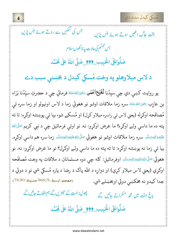.<br>مُسكي كيدل سنت دي

جس کی تسکیں سے روتے ہوئے ہنس پڑیں بخت حاگ انھیں سوتے ہوئے ہنس پڑیں ا<sup>ً</sup>س تىبسُّم كى عادت پەلاكھوں سلام صَلُّواعَلَى الْحَبِيبِ 119 \_صَلَّى اللّٰهُ على مُحَمَّد

د لاس ميلاوهلو په وخت مُسكي كيدل د بخښني سبب دے

يو روايت کښې دي چې سيِدُنا لُ**فَيُ**ع اَعْلَمي <sub>تَ</sub>خِيَالله عَنْهُ فرمائي چې د حضرتِ سيِّدُنا بَرَاء بن عازِب ﷺ عَنْهُ سره زما ملاقات اوشو نو هغوئي زما د لاس اونيولو او زما سره ئ<sub>ي</sub> مُصافَحه اوكړله (يعني لاس ئې راسره ميلاو كړل) او مُسكے شو، بيا ئې پوښتنه اوكړه: تا ته پته ده ما داسې ولے اوکړه؟ ما عرض اوکړو: نه. نو اوئې فرمائيل چې د نبي کريم <sup>صَلَّى</sup>الله عَلَيْهِءَاللَّهُوَسَلَّمَ سره زما ملاقات اوشو نو هغوئي <sup>صَلَّى</sup>اللُّهُءَلَيْهِءَاللَّهُوَسَلَّمَ زما سره هم داسي اوكړه. بيا ئي زما نه پوښتنه اوكړه: تا ته پته ده ما داسې ولے اوكړل؟ نو ما عرض اوكړو: نه. نو هغوئي <sup>صَلَّى</sup>الل<sup>ه</sup>ُتَلَيْهِةِالِهِمَتَلَمُ اوفرمائيل: كله چې دوه مسلمانان د ملاقات په وخت مُصافَحه اوکړي (يعني لاس ميلاو کړي) او دواړه د الله پاک د رضا د پاره مُسکي شي نو د دوئي د جدا كيدو نه مخكښې دوئي اوبخښلے شي. (معجم اوسط ،366/5حديث:7630) پھول *تہ حمت کے جھڑیں گے* ہم اٹھاتے جائیں گے باغ جٹت میں محمد مسکراتے جائیں گے

صَلُّواعَلَى الْحَبِيبِ 1199 صَلَّى اللهُ على مُحَمَّد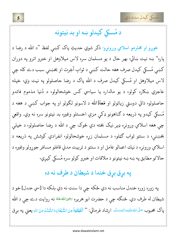

### د مُسكى كيدلو ښه او بد نيتونه

خوږو او محترمو اسلامي ورونړو! ذکر شوي حديثِ پاک کښې لفظ "د الله د رضا د پاره" ښه نيت ښائي- بهر حال د يو مسلمان سره لاس ميلاوهل او خبرو اترو په دوران کښي مُسکي کيدل صرف هغه حالت کښي د ثوابِ آخِرت او بخښني سبب دے کله چي لاس میلاوهل او مُسکي کیدل صرف د الله پاک د رضا حاصلولو په نیت وي- خپله عاجزي ښکاره کولو، د يو مالداره يا سياسي کس خوشحالولو، د دُنيا مذموم فائدو حاصلولو، ذاتي دوستی زياتولو او **مَعا**ذَالله د لاسونو لګولو او په جواب کښی د هغه د مُسکي کيدو په ذريعه د ګناهونو ډکې مزې اخستلو وغيره بد نيتونو سره نه وي. واقعي چې هغه اسلامي ورونړه ډير نيک بخته دي څوک چې د الله د رضا حاصلولو، د خپلې بخښنې، د سنتو ثواب ګټلو، د مسلمان زړه خوشحالولو، انفرادي کوشش په ذریعه د اسلامي ورونره د نيك اعمالو عامل او د سنتو د تربيت مدني قافلو مسافر جورولو وغيره د حالاتو مطابق په ښه ښه نيتونو د ملاقات او خبرو كولو سره مُسكى كيږي-

### په بړق بړق خندا د شيطان د طرف نه ده

په زوره زوره خندل مناسب نه دي ځكه چې دا سنت نه دي بلكه دا [سي خندل] خو د شيطان له طرف دي. څنګه چي د حضرت ابو هريره <u>تخوالله عَ</u>نه نه روايت دے چي د الله پاک محبوب صَلَّىالله عَلَيْهِ وَالِهٖوَسَلَّـ ارشاد فرمائي: '' ٱلْقَهْقَهَةُ مِنَ الشَّيْطَانِ وَالنَّبَسُّمُ مِنَ اللهِ يعني په برق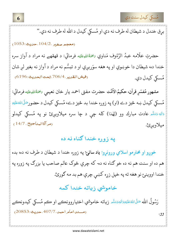

برق خندل د شيطان له طرف نه دي او مُسكي كيدل د الله له طرف نه دي."

 $(1053:$ (معجم صغير) $(104/2, 104)$ حل

حضرتِ علَّامه عبدُ الرَّءُوف مَناوي ﷺ فيهنَّا الله عَلَيْه فرمائي: د قهقهے نه مراد د آواز سره خندا ده، شيطان دا خوښوي او په هغه سوَريږي او د تبسُّم نه مراد د آواز نه بغير لږ شان  $(6196:$ فيض القدير ،706/4.تحت الحديث مُسكى كيدل دي.

مشهور مُفسّرٍ قرآن، حكيمُ الأُمّت حضرت مفتى احمد يار خان نعيمي ﷺاللهِءَليَه فرمائي: مُسکی کیدل ښه څیز دے (او) په زوره خندا بد څیز دے، مُسکی کیدل د حضورصَلَّىاللهءَلَمَهِ <sup>والهِ</sup> رَسَّلَہ عادت مبارك وو (لِهٰذا) كله چى د چا سره ميلاويږئ نو په مُسكى كيدلو (مرآةاليناجيح ، 14/7) ميلاوير.ئ.

#### يه زوره خندا ګناه نه ده

خوږو او محترمو اسلامي ورونړو! ياد ساتئ! په زوره خندا د شيطان د طرف نه ده، بده هم ده او سنت هم نه ده خو ګناه نه ده- که چرې څوک عالم صاحب يا بزرګ په زوره په خندا اووينئ نو هغه ته په خپل زړه كښى چرې هم بد مه كورئ.

خاموشي زياته خندا كمه

رَسُولُ الله صَلَّىاللهُءَلَنَةِۥوَاللهوَسَلَّم زياته خاموشي اختياروونڪے او ڪم مُسکي کيدونڪے (مسند امام احد، 407/7، حديث: 20853) وو.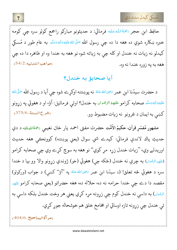مُسكى كيدل سنت دى

حافِظ ابن حجر ﷺاللهِ عَلَيْه فرمائي: د حديثونو مبارکو راجمع کولو سره چي کومه خبره ښکاره شوي ده هغه دا ده چې رسول الله <sup>ص</sup>َلَىاللهٔ عَلَيْهِوَالله<u>وَسَلَّه</u> به عام طور د مُسکی كيدلو نه زيات نه خندل او كله چې به زياته شوه نو هغه به خندا وه او ظاهره دا ده چې (مواهب اللدنية، 54/2) هغه به يه زوره خندا نه وه.

#### آيا صحابؤ به خندل؟

د حضرت سيدُنا ابنِ عمر ﷺ نه پوښتنه اوكړے شوه چې آيا د رسول الله صَلَّىالله عَلَيْهِءَالِهٖءَسَلَّـم صحابه كرامو عَلَيْهِءُالرِّفْعان به خندل؟ اوئـي فرمائيل: آؤ، او د هغوئي په زړونو (شرح السنة ،375/6) كښې به ايمان د غرونو نه زيات مضبوط وو.

مشهور مُفسّرِ قرآن، حکيمُ الأُمَّت حضرت مفتي احمد يار خان نعيمي ﷺاللهِءَلي<sub>ّ</sub>ه د دې حديثِ پاك لاندې فرمائي: كيدے شي سوال (يعني پوښتنه) كوونكى هغه حديث اوريدلے وي، "زيات خندل زړه مړ كوي" نو هغه به سوچ كړے وي چې صحابه كرامو (ءَلَيْهِۥالرِّمْوَانِ) به چرې نه خندل (ځکه چې) هغوئي (خو) ژوندي زړونو والا وو بيا د خندا سره د هغوئي څه تعلق! (د سيدُنا ابنِ عمر ﷺ په "آؤ" کښې) د جواب (ورکولو) مقصد دا دے چي خندا حرامه نه ده، حلاله ده، هغه حضراتو (يعني صحابه كرامو ﷺ الرِّفْ<sub>تَ</sub>ان) به داسې نه خندل كوم چې زړونه مړه كړي يعني هر وخت خندل بلكه داسې به ئي خندل چي زړونه تازه اوساتي او مخامخ خلق هم خوشحاله جوړ كړي.

(مرآة المناجيح ،404/6)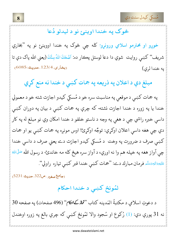مُسكى كيدل سنت دي

#### څوک په خندا اوينئ نو د ليدلو دُعا

خوږو او محترمو اسلامي ورونړو! کله چې څوک په خندا اووينئ نو په "بخاري شريف'' کښي روايت شوي دا دعا لوستل پڪار ده: اَضْحَكَ١للهُ سِنَّكَ (يعني الله پاک دې تا  $(6085, 123/4, 0.085)$ به خندا لري)

مبلغ دې د اعلان په ذريعه په جمات کښې د خندا نه منع کړي

په جمات كښې د موقعې په مناسبت سره خو د مُسكي كيدو اجازت شته خو د معمولي خندا يا په زوره د خندا اجازت نشته- که چرې په جمات کښې د بيان په دوران کښې داسې خبره راشي چې د هغې په وجه د ناستو خلقو د خندا امکان وي نو مبلغ له په کار دي چي هغه داسي اعلان اوکړي: توجٌه اوکړئ! اوس مونږه په جمات کښي يو او جمات کښي صرف د ضرورت په وخت د مُسکي کيدو اجازت دے يعني صرف د داسي خندا چي آواز هغه په خپله هم وا نه اوري، د آواز سره هيڅ كله مه خاندئ- د رسول الله <sup>صَلَّى</sup>الله عَلَيْهِ وَالْمُوَسَلَّمِ فَرِمانِ مباركِ دے: "جمات كښى خندا قبر كښى تياره راولي".

(جامع صغير ، ص322. حديث: 5231)

لمُونځ کښې د خندا احکام

د دعوتِ اسلامي د مكتبةُ المَدينه كتاب "**ثم***از كـاطام***" (4**96 صفحات) په صفحه 30 نه 31 پورې دي: (1) رُكوع او سُجود والا لمُونځ كښې كه چرې بالغ په زوره اوخندل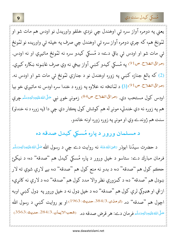

يعني په دومره آواز سره ئي اوخندل چي نزدې خلقو واوريدل نو اودس هم مات شو او لمُونځ هم، كه چرې دومره آواز سره ئي اوخندل چي صرف په خپله ئي واوريده نو لمُونځ ئې مات شو او اودس ئې باقي دے، د مُسکي کيدو سره نه لمُونځ ماتيږي او نه اودس. <sub>(</sub>مراقىالفلاح ص<sup>91</sup>) په مُسكي كيدو كښې آواز بيخي نه وي صرف غاښونه ښكاره كيږي. (2) كه بالغ جنازه كښى په زوره اوخندل نو د جنازې لمُونځ ئې مات شو او اودس نه. رمراقی الفلاح. ص91) (3) د لمانځه نه علاوه په زوره د خندا سره اودس نه ماتيږي خو بيا اودس كول مستحب دي. (مراقى الفلاح ص<sup>84</sup>) زمونږ خوږ نبي <sup>صَلَّى الله عَليَّةِ وَالْهِمَسَّلَمَ چرې</sup> هم په زوره نه دي خندلي، مونږ له هم كوشش كول پكار دي چي دا (په زوره د نه خندلو) سنت هم ژوندے وي او مونږ په زوره زوره اونه خاندو.

د مسلمان ورور د پاره مُسکي کيدل صدقه ده

د حضرت سیدُنا ابوذر ﷺ نه روایت دے چې د رسول الله <sup>صَلَّى</sup> اللهُ قَاتِي<sub>َّةُ</sub> اللهُ فرمان مبارك دے: ستاسو د خپل ورور د پاره مُسكي كيدل هم "صدقه" ده، د نيكئ حڪم کول هم "صدقه" ده، د بدو نه منع کول هم "صدقه" ده، بے لارې شوي ته لار ښودل هم "صدقه" ده، د كمزوري نظر والا مدد كول هم "صدقه" ده، د لارې نه كانړي، ازغي او هډوکي لرې کول هم "صدقه" ده، د خپل ډول نه د خپل ورور په ډول کښي اوبه اچول هم "صدقه" ده. (ترمنۍ 384/3<sub>٠</sub>صليث: 1963) او يو روايت كښى د رسول الله صَلَّى الله عَلَيْهِ وَالِهٖوَسَلَّم فرمان دے: هر قرض صدقه ده. (شعب الايمان،284/3.حديث:3563)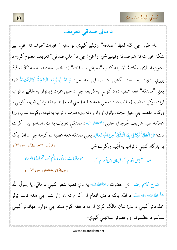

#### د مالي صدقي تعريف

عام طور چي کله لفظِ "صدقه" وئيلے کيږي نو ذهن "خيرات"طرف ته ځي. بے شکه خيرات ته هم صدقه وئيلے شي، راځئ! چي د ''مالي صدقي'' تعريف معلوم کړو- د دعوتِ اسلامي مكتبةُ المَدينه كتاب ''ضيائے صدقات'' (415 صفحات) صفحه 32 نه 33 پورې دي: په لغت كښې د صدقې نه مراد عَطِيَّةٌ يُّرَادُبِهَا الْمَثْوَبَةُ لَاالْمَكْرَمَةُ للهِ، يعني "صدقه" هغه عطيه ده د كومي په ذريعه چې د خپل عزت زياتولو په ځائے د ثواب اراده اوكړے شي- (مطلب دا دے چي هغه عطيه (يعني انعام) ته صدقه وئيلے شي، د كومي د ورکولو مقصد چې خپل عزت زياتول او واه واه نه وي، صرف د ثواب په نيت ورکړے شوې وي) علامه سيد شريف جُرجاني حنفي پَ<sup>ح</sup>َتَةُاللهِءَلَيْه د صدقي تعريف په دې الفاظو بيان كړے دے: هِيَ الۡكِطِيَّةُ تَبۡتَغِيۡ بِهَا الۡمَٰٓتُوَبَةَ مِنَ اللَّهِ تَعَالٰ. يعني صدقه هغه عطيه ده كومه چي د الله پاك (كتاب التعريفات، ص95) په بارګاه کښې د ثواب په اُمِّيد ورکړے شي.

ہو رہی ہے دونوں عالم میں تمہاری واہ واہ

صدقے اِس انعام کے قربان اِس اکرام کے

(حدائق بخشش،ص 135)

شرح كلام رضا: اعلٰی حضرت ع<sup>ن</sup>حَتُ<sup>ا</sup>للهِعَلَ<sup>ي</sup>ه په دې نعتيه شعر کښې فرمائي: يا رسولَ الله <sup>صَلّی</sup> اللهٔ عَلَيۡهِ وَاللهٖ وَسَلَّـٰہِ!د الله پاک د دې انعام او اکرام نه زه زار شم چې هغه تاسو ټولو مخلوقاتو کښې د لوئ شان مالک کړئ او دا د هغه کرم دے چې دواړه جهانونو کښې ستاسو د عظمتونو او رفعتونو ستائيني كيږي-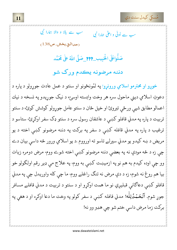سکی کیدل سنت دی

ب سے بالا و والا ہمارا نبی سب سے اَولٰی و اعلیٰ ہمارا نبی (حدائق بخش،ص138)

صَلُّواعَلَى الْحَبِيبِ 111 صَلَّى اللّهُ على مُحَمَّد

دننه مرضونه يڪدم ورک شو

خوږو او محترمو اسلامي ورونړو! په لمُونځونو او سنتو د عمل عادت جوړولو د پاره د دعوتِ اسلامي ديني ماحول سره هر وخت وابسته اوسيءَ، د نيک جوريدو په نسخه د نيك اعمالو مطابق شپې ورځې تيروئ او خپل ځان د سنتو عامل جوړولو كوشش كوئ، د سنتو تربيت د پاره په مدني قافلو كښي د عاشقان رسول سره د سنتو ډک سفر اوكړئ- ستاسو د ترغيب د پاره په مدني قافله کښې د سفر په برکت په دننه مرضونو کښې اخته د يو مريض د ښه کيدو يو مدني سپرلے تاسو ته اورووم .د يو اسلامي ورور څه داسې بيان دے چي زه د څه مودې نه په بعضي دننه مرضونو كښي اخته شوے ووم- مرض دومره زيات وو چي اوده کيدم به هم نو په ازميښت کښې به ووم- په علاج مې ډير رقم اولګولو خو بيا هم روغ نه شوم، زه د دې مرض نه تنګ راغلے ووم ما چي کله واوريدل چي په مدني قافلو کښې دعاګانې قبليږي نو ما همت اوکړو او د سنتو د تربيت د مدني قافلے مسافر جوړ شوم. اَلْحَمْدُلِلّٰه! مدني قافله کښي د سفر کولو په وخت ما دعا اوکړه او د هغې په بركت زما مرض داسي ختم شو چي هډو وو نه!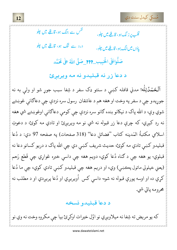مُسكى كيدل سنت دى

<sup>لفس</sup> سے جنگ ہو، قافلے میں چلو قلب برز نگ ہو، قافلے میں چلو، درد سے تنگ ہو، قافلے میں چلو ياؤں ميں لنگ ہو، قا<u>ف</u>لے ميں چلو، صَلُّواعَلَى الْحَبِيبِ 111 صَلَّى اللّهُ على مُحَمَّد

د دعا زر نه قبليدو نه مه ويريږئ

<mark>آلحَـمُـدُ</mark>الِلُه! مدني قافله کښې د سنتو ډک سفر د شِفا سبب جوړ شو او ولـې به نه جوړيدو چې د سفر په وخت او هغه هم د عاشقان رسول سره نزدې چې دعاګانې غوښتے شوي وې د الله پاک د نيکانو بنده ګانو سره نزدې چې کومې دعاګانې اوغوښتے شي هغه نه رد کيږي- که چرې دعا زر قبوله نه شي نو مه ويريږئ او تادي مه کوئ- د دعوتِ اسلامي مكتبةُ المَدينه كتاب "فضائل دعا" (318 صفحات) په صفحه 97 دي: د دُعا قبليدو کښې تادي مه کوئ، حديث شريف کښې دي چې الله پاک د دريو کسانو دعا نه قبلوي- يو هغه چې د ګناه دُعا کوي، دويم هغه چې داسې خبره غواړي چې قَطعِ رَحم (يعني خپلولي ماتول پڪښي) وي، او دريم هغه چي قبليدو کښي تادي کوي، چي ما دُعا کړې ده او اوسه پورې قبوله نه شوه- داسې کس اُويريږي او دُعا پريږدي او د مطلب نه محرومه ياتي شي.

د دعا قبليدو نسخه

که يو مريض ته شِفا نه ميلاويږي نو اوَّل خيرات اوکړئ بيا چي مکروه وخت نه وي نو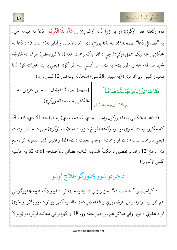

دوه ركعته نفل اوكړئ او په ژړا دُعا اوغواړئ اِنْ شَآءَاللّٰهُالْكُوِيۡهِ ا دُعا به قبوله شي. په "فضائل دُعا" صفحه 59 نه 60 پورې دي: (د دعا قبليدو آدابو نه): ادب 5: د دُعا نه مخکښي څه نيک عمل اوکړئ چې د الله پاک رحمت هغه (دعا کوونڪي) طرف ته مُتَوجِّه شي. صدقه، خاص طور پټه، په دې امر کښې ښه اثر کوي (يعني په پټه خيرات کول دُعا قبليدو كښې ډير اثر لري) (په سيپاره 28 سورة المُجادله آيت نمبر 12كښې دي:) [مفهوم]ترجمة كَنْزالعِرْفان: د خپل عرض نه

فَقَلِّمُوۡا بَيۡنَ يَلَاىُ غَبَٰوٰلُكُمۡصَلَاقَةً (پ28.المجادله:12<sub>)</sub> | مخكښې څه صدقه وركړئ.

(د دُعا نه مخكښې صدقه وركول واجب نه دي، مُستحب دي) په صفحه 61 دي: ادب 9: كه مكروه وخت نه وي نو دوه ركعته لمُونځ د زړه د اخلاصه اوكړئ چې دا جالبِ رحمت (يعني د رحمت سبب) دے او رحمت، موجِبِ نعمت دےـ (12 وختونو كښې نفلونه كول منع دي. د دې 12 وختونو تفصيل د مكتبةُ المَدينه كتاب، فضائل دعا صفحه 61 نه 62 په حاشيه كښى اوګورئ)

# د خرابو شوو پختورګو علاج اوشو

د کراچئ يو " شخصيت" ته زيړ زيړے اوشو، خيټه ئي د اوبو ډکه شوه، پختورګو ئي هم کار پريښودو، او بے هوشي پرې راغله، ډير غټ مالداره گس وو او د مور پلار يو ځوئ او د هغوئي د بوډا والي ملاتړ هم وو، ډير خفه وو، 18 ډاكټرانو ئي مُعائنه اوكړه او ټولو لا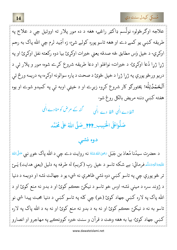

علاجه اوګرځولو، نولَسم ډاکټر راغے، هغه د ده مور پلار ته اووئیل چې د علاج په طریقه کښي یو کمے دے او هغه تاسو پوره کولے شئ، زه اُمِّید لرم چی الله پاک به رحم اوكري- د خپل وَس مطابق څه صدقه يعني خيرات اوكرئ بيا دوه ركعته نفل اوكرئ او په ژړا ژړا دُعا اوکړئ د خيرات، نوافلو او دعا طريقه شروع کړے شوه، مور و پلار ئبي د دريو ورځو پورې په ژړا ژړا د خپل ځوئ د صحت د پاره سوالونه اوکړه، په دريمه ورځ ئي اَلۡعَـٰمُدُلِلّٰه! پختورګو کار شروع کړو، زیړے او د خیټې اوبه ئې په کمیدو شوے او یوه هفته كښى دننه مريض بالكل روغ شو-گنہ کے مرض کو مٹا دے الٰہی شفا دے الٰہی شفا دے الٰہی

صَلُّواعَلَى الْحَبِيبِ\_???\_ضَلَّى اللهُ على مُحَمَّد

#### دوه نشي

د حضرت سيدُنا مُعاذ بن جَبَل <sub><sup>تخِيَ الل</sup>ُّهْءَنْهُ نه روايت دے چې د الله پاک خوږ نبي <sup>صَلَّى</sup>الله</sub> عَلَيْهِءَاللَّهُوَسَلَّم فرمائي: بے شكه تاسو د خپل ربِ (كريم) له طرفه په دليل (يعني هدايت) يَــئ تر څو پورې چې په تاسو کښې دوه نشې ظاهرې نه شي، يو د جهالت نشه او دويمه د دنيا د ژوند سره د مينې نشه- اوس خو تاسو د نيکۍ حڪم کوئ او د بدو نه منع کوئ او د الله پاک په لاره کښې جهاد کوئ (خو) چې کله په تاسو کښې د دنيا محبت پيدا شي نو تاسو به نه د نيکيځ حڪم کوئ او نه به د بدو نه منع کوئ او نه به د الله پاک په لاره کښي جهاد کوئ- بيا به هغه وخت د قرآن و سنت خبره کوونڪے په مهاجرو او انصارو

w dawateislami net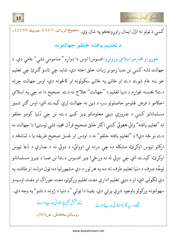سکی کیدل سنت دی

(مجمع الزوائل, 533/7مليث:12159) کښي د ټولو نه اوَّل ايمان راوړونڪو په شان وي.

#### د تعليم يافته خلقو جهالتونه

خوږو او محترمو اسلامي ورونړو! افسوس! اوس دا دواړه " مذمومې نشې" عامې دي. د جهالت نشه كښى نن صبا زمونږ زيات خلق اخته دي- شايد چي تاسو كنرئ چي تعليم خو ښه عام شوے دے او ځائے په ځائے سکولونه او کالجونه دي- اوس جهالت چرته دے؟ بخښنه غوارم د دنيا تعليم د "جهالت" علاج نه دے. صحيح دا ده چي په اسلامي احکامو د فرض عُلومو حاصلولو سره د دين نه جهالت لري کيدے شي- اوس ګنر شمير مسلمانانو کښې د ضروري ديني معلوماتو ډير کمے دے- نن چي دُنيا کومو خلقو ته "تعليم يافته" وائي هغوئي كښى اكثر خلق صحيح قرآن مجيد نشى لوستے! دا جهالت نه دے نو څه دي؟ د ''تعليم يافته خلقو'' نه د اودس او غسل صحيح طريقه يا د لمَانځه د ارکانو تپوس اوکړئ، مشکله ده چې درته ئې اووائي، د دوئي نه د جنازې د دُعا تپوس اوکړئ، کيدے شي چې دوئي له نه ورځي! ډير افسوس دے! نن صبا د ډيرو مسلمانانو توجُّه صرف د دنيا تعليم طرف ته ده، په هر لور د دې مشهورتيا ده، ټول دولت او طاقت په دې لکولے شي، او د ديني تعليم ادارې مفت تعليم ورکولو، مفت خوراک او مفت اوسيدو سهولتونه ورکولو باوجود شړې پرتې دي. يقينا دا ټولې "د دنيا د ژوند د نشو" په وجه دي. مئے عشق بھی پلانامَدنی مدینے والے مجھے دَریہ پھر بُلا نامَدنی مدینے والے (وسائلِ بخشش, ص283/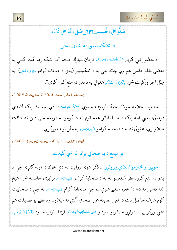

# صَلُّواعَلَى الْحَبِيبِ 1999 صَلَّى اللّٰهُ على مُحَمَّد

د مخکښينو په شان اجر

د حُضُور نبي كريم <sup>صَ</sup>لَىال<sup>ث</sup>ُمُتَلَيْهِ َاليهِتَلَم فرمان مبارك دے: ''بے شكه زما اُمَّت كښى به بعضې خلق داسې هم وي چاته چې به د مخکښينو (يعني د صحابه کرامو ﷺِ الرِّفْسِ الله عن مِثَلِ اجر وركړے شي. يُنْكِرُوْنَالْبُنْكَر هغوئي به د بدو نه منع كول كوي".

(مسند امام احمد، 576/5، حديث:16592)

حضرت علامه مولانا عبدُ الرءوف مناوي ﷺ عليه د دې حديث پاک لاندي فرمائي: يعني الله پاک د مسلمانانو هغه قوم ته د کومو په ذريعه چې دين ته طاقت ميلاويږي، هغوئي ته به د صحابه كرامو ءَنِيْه الرِّفْرَان په مِثَل ثواب وركړي.

 $(2485:$ فيض القدير. 680/1. تحت الحديث

## يو مبلغ د يو صحابي برابر نه شي كيدے

خوږو او محترمو اسلامي ورونړو! د ذکر شوي روايت نه دې څوك دا اونه ګنړي چې د بدو نه منع کوونڪو مُبلِغينو ته به د صحابهٔ کرامو ﷺِ الرِّفْسَ برابري حاصله شي، هيڅ كله داسي نه ده، دا خبره منلے شوې ده چې صحابهٔ كرام ﷺ الرِّفْسَ ته چې د صحابيت کوم شرف حاصل دے د هغې مقابله غير صحابي اُمَّتي ته ميلاويدونڪے يو فضيلت هم نشي ورکولے. د دواړو جهانونو سردار <sup>ص</sup>َلَىاللهﷺ ارشاد اوفرمائيلو: لَاتَسُبُّوْا اَصْحَابِى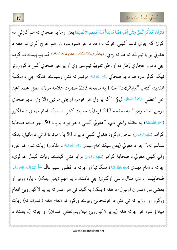کي کيدل سنت دي

فَلَوْاَنَّ اَحْدَكُمُ اَنْفَقَ مِثْلَ اُحُدٍ ذَهَبًا مَابَلَغَ مُنَّ اَحَدِهِم وَلَانَصِيْفَهُ يعني زما يو صحابي ته هم كنزلي مه کوئ که چرې تاسو کښې څوک د اُحد د غر همره سره زر هم خرچ کړي نو هغه د هغوئي يو يا نيم مُد ته هم نه رسي: (بخاري،522/2، حديث:3673) مُد يوه پيمانه ده كومه چې د دوو حجازي رَطل ده او رَطل تقريبًا نيم سير وي او يو غير صحابي کس د کروړونو نيکو کولو سره هم د يو صحابي ﷺﷺ مرتبے ته نشي رسيدے څنګه چې د مکتبةُ المَدينه كتاب "بهارِثْرُمِيت" جلد1 په صفحه 253 حضرت علامه مولانا مفتي محمد امجد علي اعظمي ، محَمَّاللهِ عَلَيْه ليكي: "كه يو ولي هر څومره اوچتې مرتبې والا وي، د يو صحابي درجے ته نه رسي''. په صفحه 247 فرمائي: حديث كښې د سيدُنا اِمام مَهدي د ملګرو (ﷺ عَنْهُ) په حقله راغلي دي: "هغوئي کښې د هر يو د پاره د 50 اجر دے، صحابة كرامو (ءَلَنِهِءُالرِّمُنُوان) عرض اوكړو: هغوئي كښې د يو د 50 يا زمونږه؟ اوئې فرمائيل: بلكه ستاسو نه."اجر د هغوئي (يعني سيدُنا امام مهدي ﷺ شاه عَنْهُ د ملكرو) زيات شو، خو غوره والي كښى هغوئي د صحابۀ كرامو (ﷺ الرِّضۡوَال) برابر نشى كيدے، زيات كيدل خو لرې، چرته د امام مهدي (ﷺعَنْهُ) ملگرتيا او چرته د حُضُور سيدِ عالَم صَلَّىاللهٔعَلَيْهِوَاللهِوَسَلَّم صَحابِيَّت! د دې مثال داسې اوګنړئ چې بادشاه د يو مهم (يعني جنګ) د پاره وزير او بعضي نور افسران اوليږل، د هغه (جنګ) په ګټلو ئې هر افسر ته يو يو لاکه روپئ انعام ورکړو او وزير ته ئې تش د خوشحالر زيرے ورکړو نو انعام هغه (افسرانو ته) زيات ميلاؤ شو، خو چرته هغه (يو يو لاکھ روپيځ ميلاويدونڪي افسران) او چرته (د بادشاه د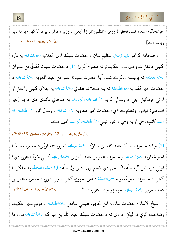. <mark>18</mark> - مسكي كيدل سنت دي المسلمين المسكي كيدل سنت دي المسلمين المسلمين المسلمين المسلمين المسلمين المسلمين المسلمين

خوشحالئ سند اخستونڪي) وزير اعظم اِعزاز! [يعني د وزير اعزاز د يو يو لاکھ روپو نه ډير  $\begin{bmatrix} 2 & 3 \end{bmatrix}$  QRS ، [Q F 2tu1247 vw253% 

د صحابهٔ کرامو ءَليَهِمُ الرِّمُوَان عظيم شان د حضرت سيدُنا امير مُعاوَيه يَضِيَالله عَنَهُ په باره ُ ֺ֖֚֚֚֚֚֚֚֚֚֚֕֝֬֝֓֕֓֕֓֡֟֓֡֬֝֬֝֬֝֬֝֓֬֝֓֬֝֓֬֝֓֬֝֓֬ ؘ <u>َ</u> ∫<br>ا كښې د نقل شوو دې دوو حكايتونو نه معلوم كړئ: (1) د حضرتِ سيِّدُنا مُعَافَىٰ بن عمران و .<br>. َحْمَةُاللهِطَيَّه نه پوښتنه اوكړے شوه: آيا حضرت سيدُنا عمر بن عبد العزيز عَمَّةُاللهِطَيَّه د ال<br>المسابق <u>َ</u>  $\overline{a}$ و اً<br>ا  $\overline{a}$ حضرت امير مُعَاوِيَه <sub>تَنْحِ</sub>ىَالله عَنْهُ نه ښه دے؟ نو هغوئي يَحْمَةُاللهِعَلَيْه په جلال كښې راغلل او و **ٔ** <u>َ</u> ِّبَ <u>َ</u> **گ** ِ  $\overline{a}$ اوئې فرمائيل چې د رسولِ کريم <sup>صَلَّى الله عَلَيْهِ وَالِهٖ وَسَلَّہ په صحابي باندې دې د يو (غير</sup> اً í <u>ا</u> <u>َ</u> **ٔ** <u>َمَ</u> <u>ہ</u> اصحابي) قياس اونڪرِے شي، حضرت امير مُعاوِيَه ﷺ د رسول انور صَلَّىاللهُءَتَهِ الصَّالَةُ <u>َ</u> ُ َ ِ <u>َ</u> ال<br>المراجع <u>َ</u> ُ ئَسَّلَّه كاتبِ وحي او په وحي د خوږ نبـي صَلَّىٰاللهْعَلَيْهِ وَاللهِ تَسَلَّه امين دے. اً í <u>َ</u> اً í <u>أ</u> َ ْ أَيُّ مِّنْ يَسْتَقْرِبُ بِيَا بِيَا بِيَا بِيَا بِيَا بِيَا بِيَا بِيَا بِيَا بِيَا بِيَا بِيَا بِيَا بِيَا ا<br>ا ُ

 $\mathcal{O}(59, 59, 224/1.$ رتاريخ بغداد. 208/59.

(2) چا د حضرت سیدُنا عبد الله بن مبارَک گُمَةُاللهِطَيَه نه پوښتنه اوکړه: حضرت سیدُنا <u>ا</u> <u>َ</u> امير مُعاويه <sub><sup>تخِي</sup>َاللهءَنَهُ او حضرت عمر بن عبد العزيز ح<sup>م</sup>َةاللهِءَلَيْه كښى څوك غوره دي؟</sub> <u>َ</u> ا<br>أ **ئ ٔ** í **با** اوئې فرمائيل:"په الله پاک مې دې قسم وي! د رسول الله <sup>صَلَّى</sup>اللهٴعَلَي<sub>َّلِ</sub>ءَالهٖءَسَلَّہ په ملګرتيا ا<br>أ اً ة<br>ا <u>ا</u> <u>ا</u> اللہ<br>ا کښې د حضرت امير مُعاويه <sub>تَ</sub>حِيَ<sub>اللّٰ</sub>هءَنَهُ د اَس په <u>َ</u> **أ** د اس په پوزه کښي ننوتي دوړه د حضرت عمر بن  $(401\omega^{\circ}, \omega)$ ده." (فتاوی حدیثیه، ص عبد العزيز چَمَّةُاللهِعَلَيْه نه په زر چنده غوره <u>ا</u> اً<br>ا َ

شيخُ الاسلام حضرت علامه ابنِ حَجر، هيتمي شافعي ﷺ د دويم نمبر حكايت ڊ <u>َ</u> **ئ** وضاحت كوي او ليكي: د دې نه د حضرت سيدُنا عبد الله بن مبارَک گَمَةُاللهِءَليَّه مراد دا <u>َمَ</u> ∫<br>ا

l.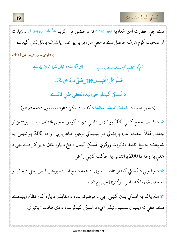

دے چې حضرت اَمير مُعاويه ﷺ ته د حُضور نبي کريم <sup>صَ</sup>لَىاللهﷺ تاقليم الله عَمَّلَى الله عَمَّلَ د زيارت او صحبت كوم شرف حاصل دے د هغي سره برابر يو عمل يا شَرَف بالكل نشي كيدے. (فتأوىٰ حديثيه، ص401) <u>ان شاءالله د و جہاں میں اپنا ہیڑا پار ہ</u>ے ہم کواَصحابِ محبوبِ خداسے پیار ہے صَلُّواعَلَى الْحَبِيبِ\_???\_صَلَّى اللهُ على مُحَمَّد د مُسکي کيدلو حيرانيدونڪي طبي فائدے (د امير اهلسنت دَامَتْ بَرَكَاتُهُمْ الْعَالِيَهُ د كتاب د نيكي دعوت مضمون دلته ختم شو) \* د انسان په مخ کښې 200 پوائنټس داسې دي د کومو نه چې مختلف ايڪسپريشنز او جذبے مَثَلاً غصه، غم، پريشاني او پښيماني وغيره ظاهريږي او دا 200 پوائنټس په شريڪه په مخ مختلف تاثرات ورکوي- مُسکي کيدل د مخ د پاره ځان له يو کار دے چې د هغې په وجه دا 200 پوائنټس په حرکت کښي راځي.

<del>لا</del> د چا چې د مُسکي کيدلو عادت نه وي د هغه د مخ ايڪسپريشن ليس يعني د جذباتو نه خالي شي بلکه داسې اوګنړئ چې يخ شي-

\* الله پاک په انساني بدن کښې چې د مرضونو سره د مقابلے د پاره کوم نظام ايښودے دے، هغې ته ايميون سسټم وئيلے شي، د مُسكي كيدلو سره د دې طاقت زياتيږي.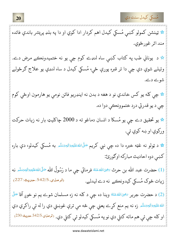مُسكي كيدل سنت دي

☆ ټينشن كمولو كښې مُسكي كيدل اهم كردار ادا كوي او دا په بلډ پريشر باندې فائده مند اثر غورځوي. \* د يوناني طب په کتاب کښ<sub>ې</sub> ساه لنډے کوم چې يو نه ختميدونڪے مرض دے. وئيلے شوي دي چې دا تر قبره پورې ځي، مُسكي كيدل د ساه لنډي يو علاج ګرځولے شوے دے. <del>لا</del> چې کله يو کس خاندي نو د هغه د بدن نه اينډريو فائن نومې يو هارمون اوځي کوم چې د يو قدرتي درد ختموونڪې دوا ده. <del>لا</del> يو تحقيق دے چې يو مُسكا د انسان دماغو ته د 2000 چاكليټ بار نه زيات حركت وركوي او ښه كوي ئي. <del>لا</del> د ټولو نه غټه خبره دا ده چې نبي کريم <sup>صَلَّى</sup>اللهڠلَ<u>ن<sup>هو</sup>الهٖوَسَلَّم</u> به مُسکي کيدلو، دې باره كښې دوه احاديث مباركه اوګورئ: (1) حضرت عبد الله بن حرث تخياللهءَنَهُ فرمائي چې ما د رَسُولُ الله صَلَّىاللهءَلي<sub>َّةِ</sub> الهِمَسَّلَّص نه (ترمذى،542/5.حديث:227) زيات څوک مُسکي کيدونڪے نه دے ليدلے. (2) د حضرت جرير پخچاللهءَنَهُ وينا ده چې د كله نه زه مسلمان شوے يم نو خوږ آقا صَلَّى الله عَلَيْهِوَالِهِوَسَلَّم زه نه يم منع كړے يعني چې څه مې ترې غوښتي دي را له ئې راكړي دي او كله چې ئې هم ماته كتلي دي نو په مُسكي كيدلو ئې كتلي دي. (ترمنۍ 542/5 حديث:230)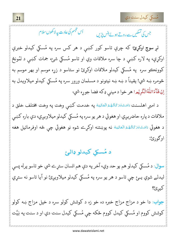.<br>مُسكي كيدل سنت دي

اُس تىبىم كى عادت پەلاكھوں سلام جس کی تسکیں سے روتے ہوئے ہنس پڑیں

لږ <mark>سوچ اوکړئ</mark>؛ که چرې تاسو کور کښې د هر کس سره په مُسکي کیدلو خبرې اوکړې، په لاره کښې د چا سره ملاقات وي او تاسو مُسکي شئ، جمات کښې د لمُونځ کوونڪو سره په مُسکي کيدلو ملاقات اوکړئ نو ستاسو د زړه موسم او بهر موسم به څومره ښه شي! يقيناً د ښه ښه نيتونو د مسلمان ورور سره په مُسكي كيدلو ميلاويدل به اِنُ شَآءَاللّٰهُالۡكَرِيۡمِ! هر خوا د ميني ډكه فضا جوړه شي-

د اميرِ اهلسنت <sub>دَامَتْ</sub>بَرَ<sup>ِ</sup>كَاتُهُءُالْعَالِيَهُ په خدمت كښې وخت په وخت مختلف خلق د ملاقات د پاره حاضريږي او هغوئي د هر يو سره په مُسكي كيدلو ميلاويږي، دې باره كښى د هغوئي <sub>دَامَتْ</sub>بَرَكَاتُهُءُالۡعَالِيَهُ نه پوښتنه اوکړے شوه نو هغوئي چې څه اوفرمائيل هغه اوګورئ:

## د مُسکي کيدلو ډالئ

سوال: د مُسکي کيدلو هم يو حد وي، آخر په دې هم انسان ستړے شي خو تاسو پرله پسې ليدلے شوي يــئ چي تاسو د هر يو سره په مُسكي كيدلو ميلاويږئ نو آيا تاسو نه ستړي کيږئ؟ جواب: دا خو د مزاج مزاج خبره ده خو زه د کوشش کولو سره د خپل مزاج ښه کولو کوشش کووم او مُسکي کيدل کووم ځکه چې مُسکي کيدل سنت دي او د سنت په نِيَّت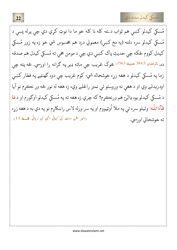

مُسکي کيدلو کښي هم ثواب دے- کله نا کله خو ما دا نوټ کړي دي چي پرله پسې د مُسكى كيدلو سره دلته (په مخ كښى) معمولي درد هم محسوس شي خو زه په زور مُسكى کيدل کووم ځکه چي حديثِ پاک کښي دي چي د مومن مخي ته مُسکي کيدل هم صدقه ده. (ترمنۍ 384/3.حديث:<sup>1963</sup>) څوک غريب چي ماته ډير په ګرانه را اورسي. څه پته چي زما په مُسكي كيدلو د هغه زړه خوشحاله شي- كوم غريب چي دوه كهنټے په قطار كښي اودريدلے وي او د هغې نه وروستو ئې نمبر راغلے وي، زه هغه له نور څه ور نڪړم نو آيا د مُسکي کيدلو يوه ډالئ هم ورنڪرم؟ که چرې زه هغه ته په مُسکي کيدلو اوګورم او د مَا شَآءَاللّٰه! وئيلو سره ئي په ملا اُوټپووم او په سر ورله لاس راښكاږم نو په دې به د هغه زړه (امیر اہل سنت کی کہانی انہی کی زبانی، قسط 11) ته خوشحالي اورسي.